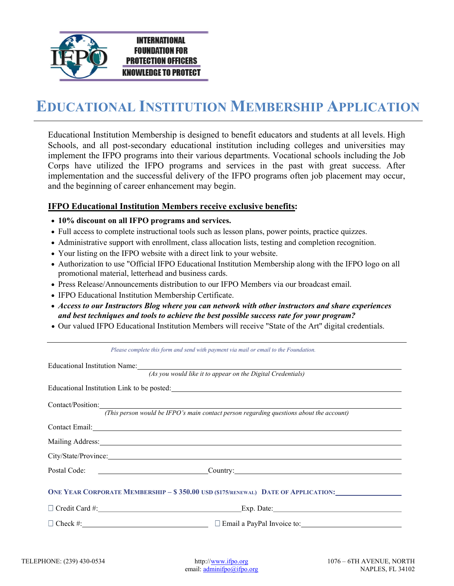

## EDUCATIONAL INSTITUTION MEMBERSHIP APPLICATION

Educational Institution Membership is designed to benefit educators and students at all levels. High Schools, and all post-secondary educational institution including colleges and universities may implement the IFPO programs into their various departments. Vocational schools including the Job Corps have utilized the IFPO programs and services in the past with great success. After implementation and the successful delivery of the IFPO programs often job placement may occur, and the beginning of career enhancement may begin.

## IFPO Educational Institution Members receive exclusive benefits:

- 10% discount on all IFPO programs and services.
- Full access to complete instructional tools such as lesson plans, power points, practice quizzes.
- Administrative support with enrollment, class allocation lists, testing and completion recognition.
- Your listing on the IFPO website with a direct link to your website.
- Authorization to use "Official IFPO Educational Institution Membership along with the IFPO logo on all promotional material, letterhead and business cards.
- Press Release/Announcements distribution to our IFPO Members via our broadcast email.
- IFPO Educational Institution Membership Certificate.
- Access to our Instructors Blog where you can network with other instructors and share experiences and best techniques and tools to achieve the best possible success rate for your program?
- Our valued IFPO Educational Institution Members will receive "State of the Art" digital credentials.

Please complete this form and send with payment via mail or email to the Foundation.

| <i>L</i> rease complete this form and send with payment via mail or email to the Loundation.                                                                                                                                     |  |  |
|----------------------------------------------------------------------------------------------------------------------------------------------------------------------------------------------------------------------------------|--|--|
| Educational Institution Name:<br>Second Language Contract Contract Contract Contract Contract Contract Contract Contract Contract Contract Contract Contract Contract Contract Contract Contract Contract Contract Contract Cont |  |  |
| (As you would like it to appear on the Digital Credentials)                                                                                                                                                                      |  |  |
| Educational Institution Link to be posted:<br><u>Educational Institution Link</u> to be posted:                                                                                                                                  |  |  |
| Contact/Position: Contact/Position:                                                                                                                                                                                              |  |  |
| (This person would be IFPO's main contact person regarding questions about the account)                                                                                                                                          |  |  |
| Contact Email: <u>Contact Email:</u>                                                                                                                                                                                             |  |  |
| Mailing Address: National Address: National Address: National Address: National Address: National Address: National Address: National Address: National Address: National Address: National Address: National Address: Nationa   |  |  |
| City/State/Province:                                                                                                                                                                                                             |  |  |
|                                                                                                                                                                                                                                  |  |  |
| ONE YEAR CORPORATE MEMBERSHIP - \$350.00 USD (\$175/RENEWAL) DATE OF APPLICATION:                                                                                                                                                |  |  |
| Credit Card #: Exp. Date: Exp. Date:                                                                                                                                                                                             |  |  |
| $\Box$ Check #: $\Box$ Check #:                                                                                                                                                                                                  |  |  |